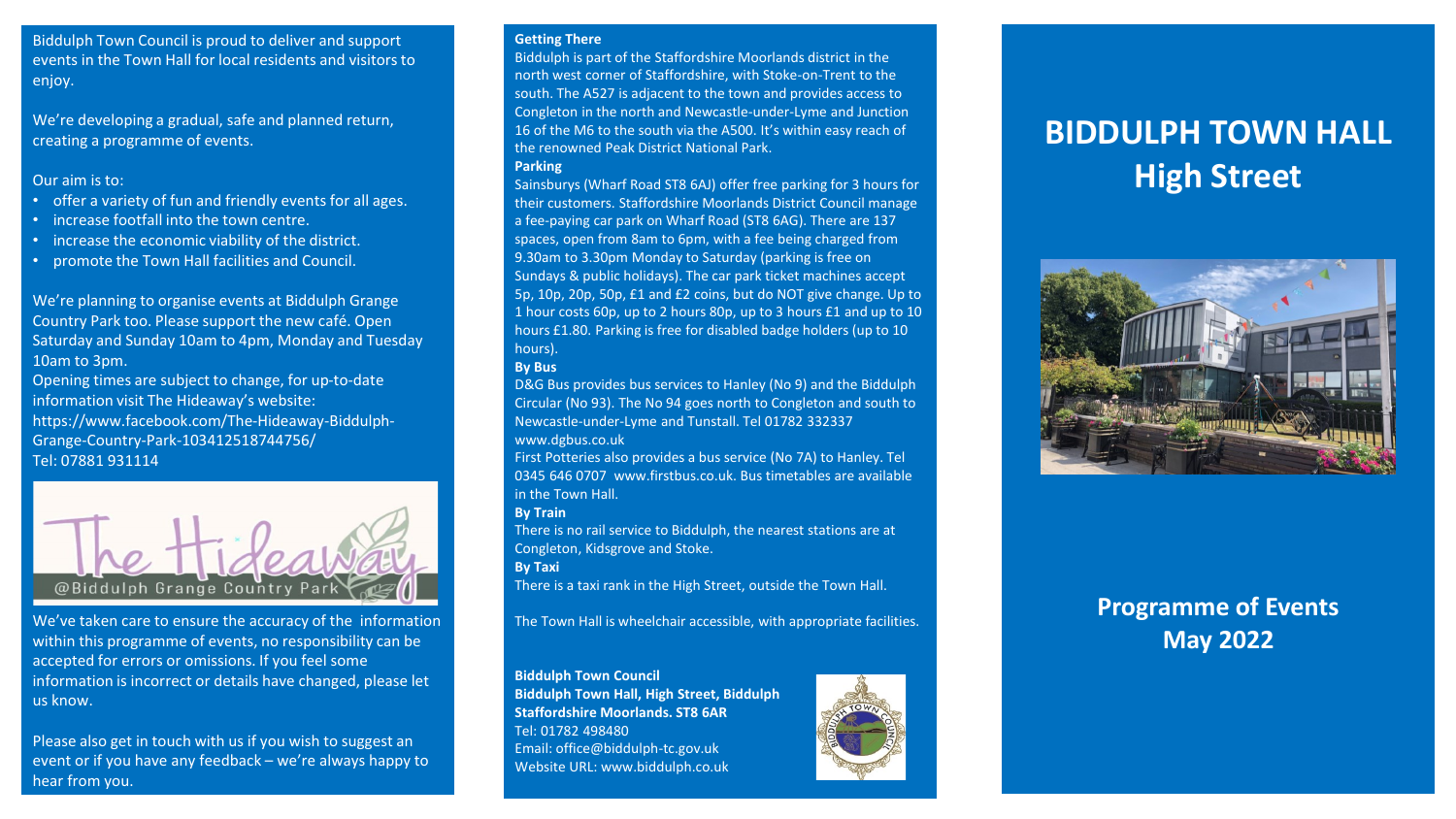Biddulph Town Council is proud to deliver and support events in the Town Hall for local residents and visitors to enjoy.

We're developing a gradual, safe and planned return, creating a programme of events.

# Our aim is to:

- offer a variety of fun and friendly events for all ages.
- increase footfall into the town centre.
- increase the economic viability of the district.
- promote the Town Hall facilities and Council.

We're planning to organise events at Biddulph Grange Country Park too. Please support the new café. Open Saturday and Sunday 10am to 4pm, Monday and Tuesday 10am to 3pm.

Opening times are subject to change, for up-to-date information visit The Hideaway's website: https://www.facebook.com/The-Hideaway-Biddulph-Grange-Country-Park-103412518744756/ Tel: 07881 931114



We've taken care to ensure the accuracy of the information within this programme of events, no responsibility can be accepted for errors or omissions. If you feel some information is incorrect or details have changed, please let us know.

Please also get in touch with us if you wish to suggest an event or if you have any feedback – we're always happy to hear from you.

### **Getting There**

Biddulph is part of the Staffordshire Moorlands district in the north west corner of Staffordshire, with Stoke-on-Trent to the south. The A527 is adjacent to the town and provides access to Congleton in the north and Newcastle-under-Lyme and Junction 16 of the M6 to the south via the A500. It's within easy reach of the renowned Peak District National Park. **Parking** 

Sainsburys (Wharf Road ST8 6AJ) offer free parking for 3 hours for their customers. Staffordshire Moorlands District Council manage a fee-paying car park on Wharf Road (ST8 6AG). There are 137 spaces, open from 8am to 6pm, with a fee being charged from 9.30am to 3.30pm Monday to Saturday (parking is free on Sundays & public holidays). The car park ticket machines accept 5p, 10p, 20p, 50p, £1 and £2 coins, but do NOT give change. Up to 1 hour costs 60p, up to 2 hours 80p, up to 3 hours £1 and up to 10 hours £1.80. Parking is free for disabled badge holders (up to 10 hours).

# **By Bus**

D&G Bus provides bus services to Hanley (No 9) and the Biddulph Circular (No 93). The No 94 goes north to Congleton and south to Newcastle-under-Lyme and Tunstall. Tel 01782 332337 www.dgbus.co.uk

First Potteries also provides a bus service (No 7A) to Hanley. Tel 0345 646 0707 www.firstbus.co.uk. Bus timetables are available in the Town Hall.

# **By Train**

There is no rail service to Biddulph, the nearest stations are at Congleton, Kidsgrove and Stoke.

**By Taxi** 

There is a taxi rank in the High Street, outside the Town Hall.

The Town Hall is wheelchair accessible, with appropriate facilities.

# **Biddulph Town Council**

**Biddulph Town Hall, High Street, Biddulph Staffordshire Moorlands. ST8 6AR**  Tel: 01782 498480 Email: office@biddulph-tc.gov.uk Website URL: www.biddulph.co.uk



# **BIDDULPH TOWN HALL High Street**



# **Programme of Events May 2022**